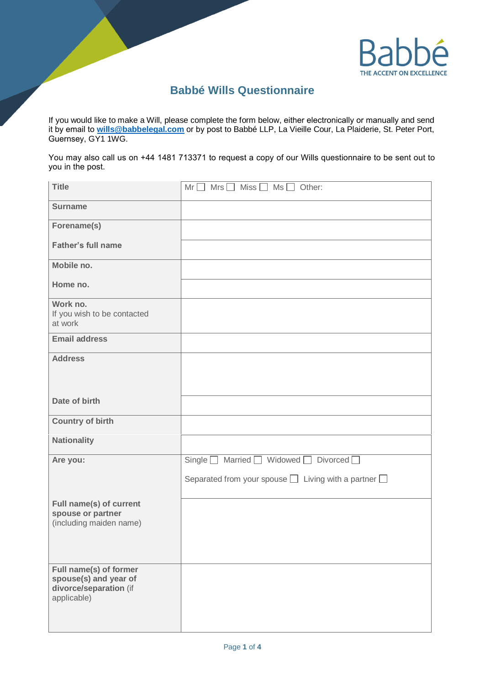

## **Babbé Wills Questionnaire**

If you would like to make a Will, please complete the form below, either electronically or manually and send Guernsey, GY1 1WG. it by email to **[wills@babbelegal.com](mailto:wills@babbelegal.com)** or by post to Babbé LLP, La Vieille Cour, La Plaiderie, St. Peter Port,

You may also call us on +44 1481 713371 to request a copy of our Wills questionnaire to be sent out to you in the post.

| <b>Title</b>                                                                             | $Mrs \Box$ Miss $\Box$<br>$Ms \Box$ Other:<br>$Mr$ $[$            |
|------------------------------------------------------------------------------------------|-------------------------------------------------------------------|
| <b>Surname</b>                                                                           |                                                                   |
| Forename(s)                                                                              |                                                                   |
| <b>Father's full name</b>                                                                |                                                                   |
| Mobile no.                                                                               |                                                                   |
| Home no.                                                                                 |                                                                   |
| Work no.<br>If you wish to be contacted<br>at work                                       |                                                                   |
| <b>Email address</b>                                                                     |                                                                   |
| <b>Address</b>                                                                           |                                                                   |
| Date of birth                                                                            |                                                                   |
| <b>Country of birth</b>                                                                  |                                                                   |
| <b>Nationality</b>                                                                       |                                                                   |
| Are you:                                                                                 | Married $\Box$ Widowed $\Box$ Divorced $\Box$<br>Single $\square$ |
|                                                                                          | Separated from your spouse $\Box$ Living with a partner $\Box$    |
| Full name(s) of current<br>spouse or partner<br>(including maiden name)                  |                                                                   |
| Full name(s) of former<br>spouse(s) and year of<br>divorce/separation (if<br>applicable) |                                                                   |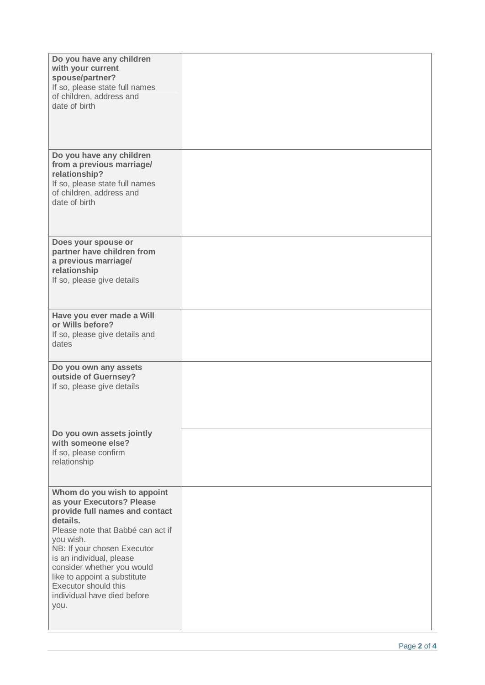| Do you have any children<br>with your current<br>spouse/partner?<br>If so, please state full names<br>of children, address and<br>date of birth                                                                                                                                                                                                  |  |
|--------------------------------------------------------------------------------------------------------------------------------------------------------------------------------------------------------------------------------------------------------------------------------------------------------------------------------------------------|--|
| Do you have any children<br>from a previous marriage/<br>relationship?<br>If so, please state full names<br>of children, address and<br>date of birth                                                                                                                                                                                            |  |
| Does your spouse or<br>partner have children from<br>a previous marriage/<br>relationship<br>If so, please give details                                                                                                                                                                                                                          |  |
| Have you ever made a Will<br>or Wills before?<br>If so, please give details and<br>dates                                                                                                                                                                                                                                                         |  |
| Do you own any assets<br>outside of Guernsey?<br>If so, please give details                                                                                                                                                                                                                                                                      |  |
| Do you own assets jointly<br>with someone else?<br>If so, please confirm<br>relationship                                                                                                                                                                                                                                                         |  |
| Whom do you wish to appoint<br>as your Executors? Please<br>provide full names and contact<br>details.<br>Please note that Babbé can act if<br>you wish.<br>NB: If your chosen Executor<br>is an individual, please<br>consider whether you would<br>like to appoint a substitute<br>Executor should this<br>individual have died before<br>you. |  |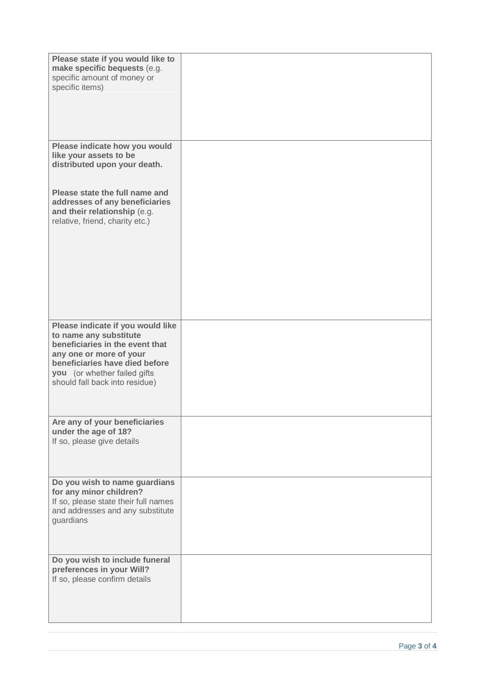| Please state if you would like to<br>make specific bequests (e.g.<br>specific amount of money or<br>specific items)                                                                                                           |  |
|-------------------------------------------------------------------------------------------------------------------------------------------------------------------------------------------------------------------------------|--|
| Please indicate how you would<br>like your assets to be<br>distributed upon your death.                                                                                                                                       |  |
| Please state the full name and<br>addresses of any beneficiaries<br>and their relationship (e.g.<br>relative, friend, charity etc.)                                                                                           |  |
| Please indicate if you would like<br>to name any substitute<br>beneficiaries in the event that<br>any one or more of your<br>beneficiaries have died before<br>you (or whether failed gifts<br>should fall back into residue) |  |
| Are any of your beneficiaries<br>under the age of 18?<br>If so, please give details                                                                                                                                           |  |
| Do you wish to name guardians<br>for any minor children?<br>If so, please state their full names<br>and addresses and any substitute<br>guardians                                                                             |  |
| Do you wish to include funeral<br>preferences in your Will?<br>If so, please confirm details                                                                                                                                  |  |